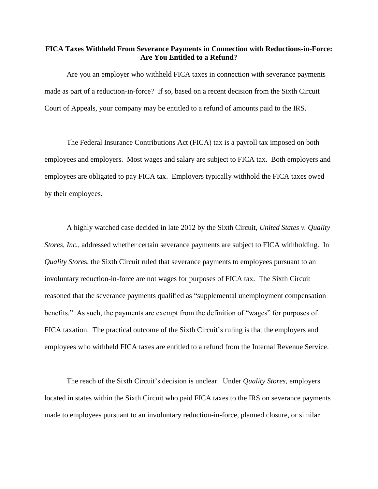## **FICA Taxes Withheld From Severance Payments in Connection with Reductions-in-Force: Are You Entitled to a Refund?**

Are you an employer who withheld FICA taxes in connection with severance payments made as part of a reduction-in-force? If so, based on a recent decision from the Sixth Circuit Court of Appeals, your company may be entitled to a refund of amounts paid to the IRS.

The Federal Insurance Contributions Act (FICA) tax is a payroll tax imposed on both employees and employers. Most wages and salary are subject to FICA tax. Both employers and employees are obligated to pay FICA tax. Employers typically withhold the FICA taxes owed by their employees.

A highly watched case decided in late 2012 by the Sixth Circuit, *United States v. Quality Stores, Inc.*, addressed whether certain severance payments are subject to FICA withholding. In *Quality Store*s, the Sixth Circuit ruled that severance payments to employees pursuant to an involuntary reduction-in-force are not wages for purposes of FICA tax. The Sixth Circuit reasoned that the severance payments qualified as "supplemental unemployment compensation benefits." As such, the payments are exempt from the definition of "wages" for purposes of FICA taxation. The practical outcome of the Sixth Circuit's ruling is that the employers and employees who withheld FICA taxes are entitled to a refund from the Internal Revenue Service.

The reach of the Sixth Circuit's decision is unclear. Under *Quality Stores*, employers located in states within the Sixth Circuit who paid FICA taxes to the IRS on severance payments made to employees pursuant to an involuntary reduction-in-force, planned closure, or similar